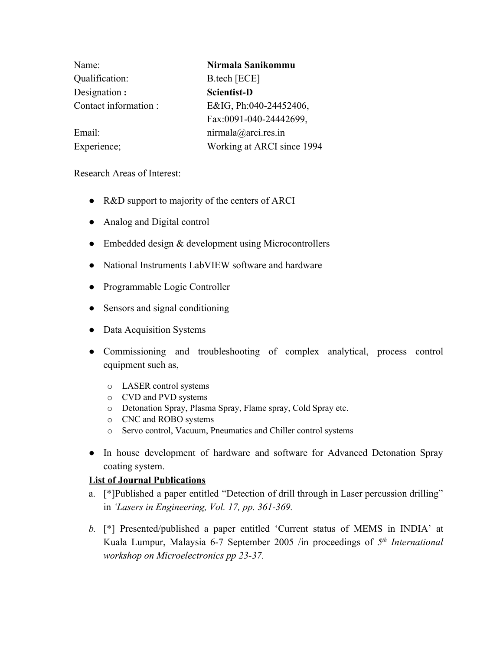| Name:                | Nirmala Sanikommu          |
|----------------------|----------------------------|
| Qualification:       | B.tech [ECE]               |
| Designation:         | <b>Scientist-D</b>         |
| Contact information: | E&IG, Ph:040-24452406,     |
|                      | Fax:0091-040-24442699,     |
| Email:               | nirmala@arci.res.in        |
| Experience;          | Working at ARCI since 1994 |

Research Areas of Interest:

- R&D support to majority of the centers of ARCI
- Analog and Digital control
- Embedded design & development using Microcontrollers
- National Instruments LabVIEW software and hardware
- Programmable Logic Controller
- Sensors and signal conditioning
- Data Acquisition Systems
- Commissioning and troubleshooting of complex analytical, process control equipment such as,
	- o LASER control systems
	- o CVD and PVD systems
	- o Detonation Spray, Plasma Spray, Flame spray, Cold Spray etc.
	- o CNC and ROBO systems
	- o Servo control, Vacuum, Pneumatics and Chiller control systems
- In house development of hardware and software for Advanced Detonation Spray coating system.

## **List of Journal Publications**

- a. [\*]Published a paper entitled "Detection of drill through in Laser percussion drilling" in *'Lasers in Engineering, Vol. 17, pp. 361-369.*
- *b.* [\*] Presented/published a paper entitled 'Current status of MEMS in INDIA' at Kuala Lumpur, Malaysia 6-7 September 2005 /in proceedings of 5<sup>th</sup> International *workshop on Microelectronics pp 23-37.*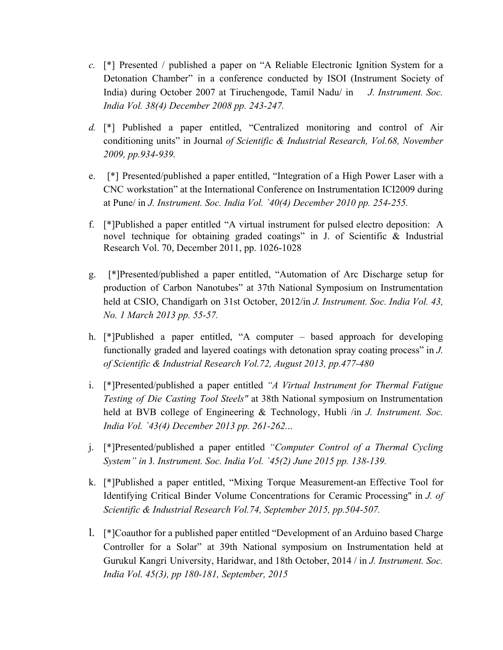- *c.* [\*] Presented / published a paper on "A Reliable Electronic Ignition System for a Detonation Chamber" in a conference conducted by ISOI (Instrument Society of India) during October 2007 at Tiruchengode, Tamil Nadu/ in *J. Instrument. Soc. India Vol. 38(4) December 2008 pp. 243-247.*
- *d.* [\*] Published a paper entitled, "Centralized monitoring and control of Air conditioning units" in Journal *of Scientific & Industrial Research, Vol.68, November 2009, pp.934-939.*
- e. [\*] Presented/published a paper entitled, "Integration of a High Power Laser with a CNC workstation" at the International Conference on Instrumentation ICI2009 during at Pune/ in *J. Instrument. Soc. India Vol. `40(4) December 2010 pp. 254-255.*
- f. [\*]Published a paper entitled "A virtual instrument for pulsed electro deposition: A novel technique for obtaining graded coatings" in J. of Scientific & Industrial Research Vol. 70, December 2011, pp. 1026-1028
- g. [\*]Presented/published a paper entitled, "Automation of Arc Discharge setup for production of Carbon Nanotubes" at 37th National Symposium on Instrumentation held at CSIO, Chandigarh on 31st October, 2012/in *J. Instrument. Soc. India Vol. 43, No. 1 March 2013 pp. 55-57.*
- h. [\*]Published a paper entitled, "A computer based approach for developing functionally graded and layered coatings with detonation spray coating process" in *J. of Scientific & Industrial Research Vol.72, August 2013, pp.477-480*
- i. [\*]Presented/published a paper entitled *"A Virtual Instrument for Thermal Fatigue Testing of Die Casting Tool Steels"* at 38th National symposium on Instrumentation held at BVB college of Engineering & Technology, Hubli /in *J. Instrument. Soc. India Vol. `43(4) December 2013 pp. 261-262.*..
- j. [\*]Presented/published a paper entitled *"Computer Control of a Thermal Cycling System" in* J*. Instrument. Soc. India Vol. `45(2) June 2015 pp. 138-139.*
- k. [\*]Published a paper entitled, "Mixing Torque Measurement-an Effective Tool for Identifying Critical Binder Volume Concentrations for Ceramic Processing" in *J. of Scientific & Industrial Research Vol.74, September 2015, pp.504-507.*
- l. [\*]Coauthor for a published paper entitled "Development of an Arduino based Charge Controller for a Solar" at 39th National symposium on Instrumentation held at Gurukul Kangri University, Haridwar, and 18th October, 2014 / in *J. Instrument. Soc. India Vol. 45(3), pp 180-181, September, 2015*